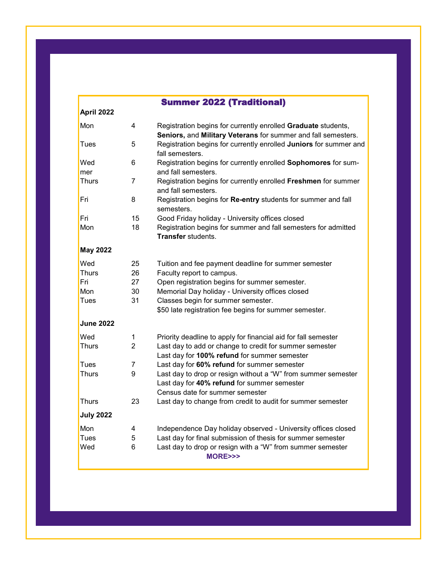|                  |                | <b>Summer 2022 (Traditional)</b>                                                                                                                |
|------------------|----------------|-------------------------------------------------------------------------------------------------------------------------------------------------|
| April 2022       |                |                                                                                                                                                 |
| Mon              | 4              | Registration begins for currently enrolled Graduate students,<br>Seniors, and Military Veterans for summer and fall semesters.                  |
| Tues             | 5              | Registration begins for currently enrolled Juniors for summer and<br>fall semesters.                                                            |
| Wed<br>mer       | 6              | Registration begins for currently enrolled Sophomores for sum-<br>and fall semesters.                                                           |
| Thurs            | 7              | Registration begins for currently enrolled Freshmen for summer<br>and fall semesters.                                                           |
| Fri              | 8              | Registration begins for Re-entry students for summer and fall<br>semesters.                                                                     |
| Fri              | 15             | Good Friday holiday - University offices closed                                                                                                 |
| Mon              | 18             | Registration begins for summer and fall semesters for admitted<br><b>Transfer</b> students.                                                     |
| <b>May 2022</b>  |                |                                                                                                                                                 |
| Wed              | 25             | Tuition and fee payment deadline for summer semester                                                                                            |
| <b>Thurs</b>     | 26             | Faculty report to campus.                                                                                                                       |
| Fri              | 27             | Open registration begins for summer semester.                                                                                                   |
| Mon              | 30             | Memorial Day holiday - University offices closed                                                                                                |
| Tues             | 31             | Classes begin for summer semester.<br>\$50 late registration fee begins for summer semester.                                                    |
| <b>June 2022</b> |                |                                                                                                                                                 |
| Wed              | 1              | Priority deadline to apply for financial aid for fall semester                                                                                  |
| <b>Thurs</b>     | $\overline{2}$ | Last day to add or change to credit for summer semester<br>Last day for 100% refund for summer semester                                         |
| <b>Tues</b>      | $\overline{7}$ | Last day for 60% refund for summer semester                                                                                                     |
| <b>Thurs</b>     | 9              | Last day to drop or resign without a "W" from summer semester<br>Last day for 40% refund for summer semester<br>Census date for summer semester |
| <b>Thurs</b>     | 23             | Last day to change from credit to audit for summer semester                                                                                     |
| <b>July 2022</b> |                |                                                                                                                                                 |
| Mon              | 4              | Independence Day holiday observed - University offices closed                                                                                   |
| Tues             | 5              | Last day for final submission of thesis for summer semester                                                                                     |
| Wed              | 6              | Last day to drop or resign with a "W" from summer semester<br>MORE>>>                                                                           |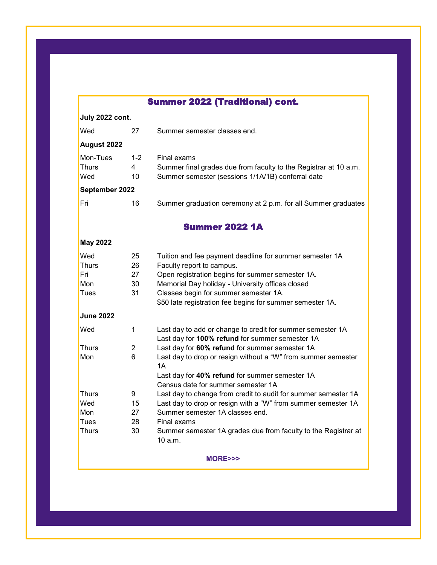## Summer 2022 (Traditional) cont.

## **July 2022 cont.**

| Wed                                                | 27                         | Summer semester classes end.                                                                                                                                                                                                                                                                                                                                 |
|----------------------------------------------------|----------------------------|--------------------------------------------------------------------------------------------------------------------------------------------------------------------------------------------------------------------------------------------------------------------------------------------------------------------------------------------------------------|
| <b>August 2022</b>                                 |                            |                                                                                                                                                                                                                                                                                                                                                              |
| Mon-Tues<br><b>Thurs</b><br>Wed                    | $1 - 2$<br>4<br>10         | Final exams<br>Summer final grades due from faculty to the Registrar at 10 a.m.<br>Summer semester (sessions 1/1A/1B) conferral date                                                                                                                                                                                                                         |
| September 2022                                     |                            |                                                                                                                                                                                                                                                                                                                                                              |
| Fri                                                | 16                         | Summer graduation ceremony at 2 p.m. for all Summer graduates                                                                                                                                                                                                                                                                                                |
|                                                    |                            | <b>Summer 2022 1A</b>                                                                                                                                                                                                                                                                                                                                        |
| <b>May 2022</b>                                    |                            |                                                                                                                                                                                                                                                                                                                                                              |
| Wed<br><b>Thurs</b><br>Fri<br>Mon<br>Tues          | 25<br>26<br>27<br>30<br>31 | Tuition and fee payment deadline for summer semester 1A<br>Faculty report to campus.<br>Open registration begins for summer semester 1A.<br>Memorial Day holiday - University offices closed<br>Classes begin for summer semester 1A.<br>\$50 late registration fee begins for summer semester 1A.                                                           |
| <b>June 2022</b>                                   |                            |                                                                                                                                                                                                                                                                                                                                                              |
| Wed<br><b>Thurs</b><br>Mon                         | 1<br>2<br>6                | Last day to add or change to credit for summer semester 1A<br>Last day for 100% refund for summer semester 1A<br>Last day for 60% refund for summer semester 1A<br>Last day to drop or resign without a "W" from summer semester                                                                                                                             |
| <b>Thurs</b><br>Wed<br>Mon<br>Tues<br><b>Thurs</b> | 9<br>15<br>27<br>28<br>30  | 1A<br>Last day for 40% refund for summer semester 1A<br>Census date for summer semester 1A<br>Last day to change from credit to audit for summer semester 1A<br>Last day to drop or resign with a "W" from summer semester 1A<br>Summer semester 1A classes end.<br>Final exams<br>Summer semester 1A grades due from faculty to the Registrar at<br>10 a.m. |
|                                                    |                            |                                                                                                                                                                                                                                                                                                                                                              |

**MORE>>>**